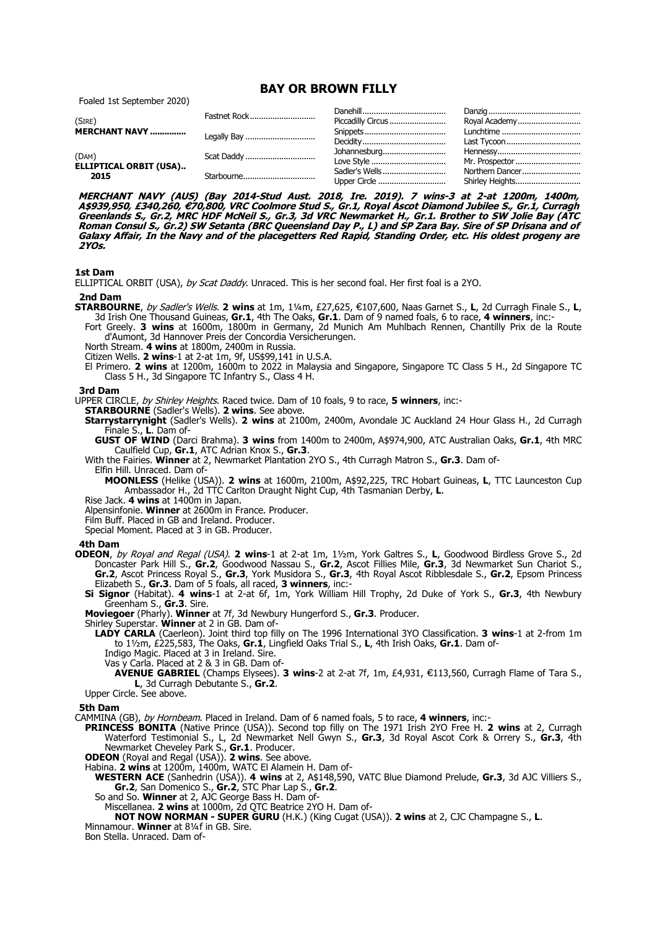# **BAY OR BROWN FILLY**

Foaled 1st September 2020)

| (SIRE)                                  | Fastnet Rock | Piccadilly Circus | Royal Academy   |
|-----------------------------------------|--------------|-------------------|-----------------|
|                                         |              |                   | Lunchtime       |
|                                         |              |                   | Last Tycoon     |
| (DAM)<br>ELLIPTICAL ORBIT (USA)<br>2015 | Scat Daddy   | Johannesburg      |                 |
|                                         |              | Love Style        | Mr. Prospector  |
|                                         | Starbourne   | Sadler's Wells    | Northern Dancer |
|                                         |              |                   |                 |

**MERCHANT NAVY (AUS) (Bay 2014-Stud Aust. 2018, Ire. 2019). 7 wins-3 at 2-at 1200m, 1400m,**  A\$939,950, £340,260, €70,800, VRC Coolmore Stud S., Gr.1, Royal Ascot Diamond Jubilee S., Gr.1, Curragh **Greenlands S., Gr.2, MRC HDF McNeil S., Gr.3, 3d VRC Newmarket H., Gr.1. Brother to SW Jolie Bay (ATC Roman Consul S., Gr.2) SW Setanta (BRC Queensland Day P., L) and SP Zara Bay. Sire of SP Drisana and of Galaxy Affair, In the Navy and of the placegetters Red Rapid, Standing Order, etc. His oldest progeny are 2YOs.**

## **1st Dam**

ELLIPTICAL ORBIT (USA), by Scat Daddy. Unraced. This is her second foal. Her first foal is a 2YO.

#### **2nd Dam**

- **STARBOURNE**, by Sadler's Wells. 2 wins at 1m, 1¼m, £27,625, €107,600, Naas Garnet S., L, 2d Curragh Finale S., L, 3d Irish One Thousand Guineas, **Gr.1**, 4th The Oaks, **Gr.1**. Dam of 9 named foals, 6 to race, **4 winners**, inc:-
	- Fort Greely. **3 wins** at 1600m, 1800m in Germany, 2d Munich Am Muhlbach Rennen, Chantilly Prix de la Route d'Aumont, 3d Hannover Preis der Concordia Versicherungen.
	- North Stream. **4 wins** at 1800m, 2400m in Russia.

Citizen Wells. **2 wins**-1 at 2-at 1m, 9f, US\$99,141 in U.S.A.

El Primero. **2 wins** at 1200m, 1600m to 2022 in Malaysia and Singapore, Singapore TC Class 5 H., 2d Singapore TC Class 5 H., 3d Singapore TC Infantry S., Class 4 H.

### **3rd Dam**

UPPER CIRCLE, by Shirley Heights. Raced twice. Dam of 10 foals, 9 to race, **5 winners**, inc:-

**STARBOURNE** (Sadler's Wells). **2 wins**. See above.

**Starrystarrynight** (Sadler's Wells). **2 wins** at 2100m, 2400m, Avondale JC Auckland 24 Hour Glass H., 2d Curragh Finale S., **L**. Dam of-

**GUST OF WIND** (Darci Brahma). **3 wins** from 1400m to 2400m, A\$974,900, ATC Australian Oaks, **Gr.1**, 4th MRC Caulfield Cup, **Gr.1**, ATC Adrian Knox S., **Gr.3**.

With the Fairies. **Winner** at 2, Newmarket Plantation 2YO S., 4th Curragh Matron S., **Gr.3**. Dam of-

Elfin Hill. Unraced. Dam of-

**MOONLESS** (Helike (USA)). **2 wins** at 1600m, 2100m, A\$92,225, TRC Hobart Guineas, **L**, TTC Launceston Cup Ambassador H., 2d TTC Carlton Draught Night Cup, 4th Tasmanian Derby, **L**.

Rise Jack. **4 wins** at 1400m in Japan.

Alpensinfonie. **Winner** at 2600m in France. Producer.

Film Buff. Placed in GB and Ireland. Producer.

Special Moment. Placed at 3 in GB. Producer.

#### **4th Dam**

**ODEON**, by Royal and Regal (USA). **2 wins**-1 at 2-at 1m, 1½m, York Galtres S., **L**, Goodwood Birdless Grove S., 2d Doncaster Park Hill S., **Gr.2**, Goodwood Nassau S., **Gr.2**, Ascot Fillies Mile, **Gr.3**, 3d Newmarket Sun Chariot S., **Gr.2**, Ascot Princess Royal S., **Gr.3**, York Musidora S., **Gr.3**, 4th Royal Ascot Ribblesdale S., **Gr.2**, Epsom Princess Elizabeth S., **Gr.3**. Dam of 5 foals, all raced, **3 winners**, inc:-

**Si Signor** (Habitat). **4 wins**-1 at 2-at 6f, 1m, York William Hill Trophy, 2d Duke of York S., **Gr.3**, 4th Newbury Greenham S., **Gr.3**. Sire.

**Moviegoer** (Pharly). **Winner** at 7f, 3d Newbury Hungerford S., **Gr.3**. Producer.

Shirley Superstar. **Winner** at 2 in GB. Dam of-

**LADY CARLA** (Caerleon). Joint third top filly on The 1996 International 3YO Classification. **3 wins**-1 at 2-from 1m to 1½m, £225,583, The Oaks, **Gr.1**, Lingfield Oaks Trial S., **L**, 4th Irish Oaks, **Gr.1**. Dam of-

Indigo Magic. Placed at 3 in Ireland. Sire.

Vas y Carla. Placed at 2 & 3 in GB. Dam of-

- **AVENUE GABRIEL** (Champs Elysees). **3 wins**-2 at 2-at 7f, 1m, £4,931, €113,560, Curragh Flame of Tara S., **L**, 3d Curragh Debutante S., **Gr.2**.
- Upper Circle. See above.

#### **5th Dam**

CAMMINA (GB), by Hornbeam. Placed in Ireland. Dam of 6 named foals, 5 to race, **4 winners**, inc:-

**PRINCESS BONITA** (Native Prince (USA)). Second top filly on The 1971 Irish 2YO Free H. **2 wins** at 2, Curragh Waterford Testimonial S., L, 2d Newmarket Nell Gwyn S., **Gr.3**, 3d Royal Ascot Cork & Orrery S., **Gr.3**, 4th Newmarket Cheveley Park S., **Gr.1**. Producer.

**ODEON** (Royal and Regal (USA)). **2 wins**. See above.

Habina. **2 wins** at 1200m, 1400m, WATC El Alamein H. Dam of-

**WESTERN ACE** (Sanhedrin (USA)). **4 wins** at 2, A\$148,590, VATC Blue Diamond Prelude, **Gr.3**, 3d AJC Villiers S., **Gr.2**, San Domenico S., **Gr.2**, STC Phar Lap S., **Gr.2**.

So and So. **Winner** at 2, AJC George Bass H. Dam of-

Miscellanea. **2 wins** at 1000m, 2d QTC Beatrice 2YO H. Dam of-

**NOT NOW NORMAN - SUPER GURU** (H.K.) (King Cugat (USA)). **2 wins** at 2, CJC Champagne S., **L**. Minnamour. **Winner** at 8¼f in GB. Sire.

Bon Stella. Unraced. Dam of-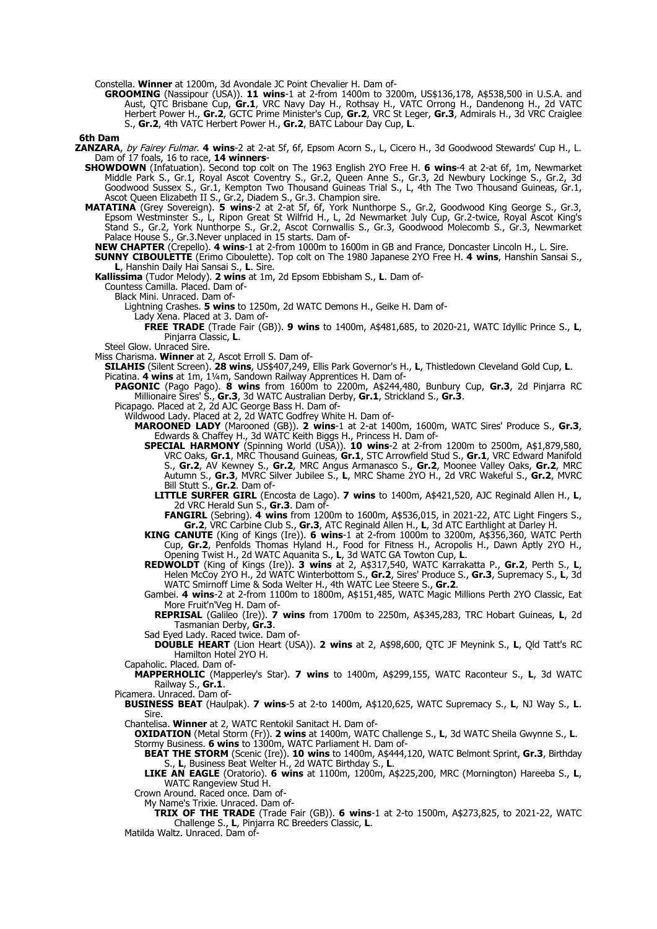Constella. **Winner** at 1200m, 3d Avondale JC Point Chevalier H. Dam of-

**GROOMING** (Nassipour (USA)). **11 wins**-1 at 2-from 1400m to 3200m, US\$136,178, A\$538,500 in U.S.A. and Aust, QTC Brisbane Cup, **Gr.1**, VRC Navy Day H., Rothsay H., VATC Orrong H., Dandenong H., 2d VATC Herbert Power H., **Gr.2**, GCTC Prime Minister's Cup, **Gr.2**, VRC St Leger, **Gr.3**, Admirals H., 3d VRC Craiglee S., **Gr.2**, 4th VATC Herbert Power H., **Gr.2**, BATC Labour Day Cup, **L**.

**6th Dam**

- **ZANZARA**, by Fairey Fulmar. **4 wins**-2 at 2-at 5f, 6f, Epsom Acorn S., L, Cicero H., 3d Goodwood Stewards' Cup H., L. Dam of 17 foals, 16 to race, **14 winners**-
	- **SHOWDOWN** (Infatuation). Second top colt on The 1963 English 2YO Free H. **6 wins**-4 at 2-at 6f, 1m, Newmarket Middle Park S., Gr.1, Royal Ascot Coventry S., Gr.2, Queen Anne S., Gr.3, 2d Newbury Lockinge S., Gr.2, 3d Goodwood Sussex S., Gr.1, Kempton Two Thousand Guineas Trial S., L, 4th The Two Thousand Guineas, Gr.1, Ascot Queen Elizabeth II S., Gr.2, Diadem S., Gr.3. Champion sire.
	- **MATATINA** (Grey Sovereign). **5 wins**-2 at 2-at 5f, 6f, York Nunthorpe S., Gr.2, Goodwood King George S., Gr.3, Epsom Westminster S., L, Ripon Great St Wilfrid H., L, 2d Newmarket July Cup, Gr.2-twice, Royal Ascot King's Stand S., Gr.2, York Nunthorpe S., Gr.2, Ascot Cornwallis S., Gr.3, Goodwood Molecomb S., Gr.3, Newmarket Palace House S., Gr.3.Never unplaced in 15 starts. Dam of-
		- **NEW CHAPTER** (Crepello). **4 wins**-1 at 2-from 1000m to 1600m in GB and France, Doncaster Lincoln H., L. Sire.
		- **SUNNY CIBOULETTE** (Erimo Ciboulette). Top colt on The 1980 Japanese 2YO Free H. **4 wins**, Hanshin Sansai S., **L**, Hanshin Daily Hai Sansai S., **L**. Sire.
		- **Kallissima** (Tudor Melody). **2 wins** at 1m, 2d Epsom Ebbisham S., **L**. Dam of-
			- Countess Camilla. Placed. Dam of-
				- Black Mini. Unraced. Dam of-
					- Lightning Crashes. **5 wins** to 1250m, 2d WATC Demons H., Geike H. Dam of-
						- Lady Xena. Placed at 3. Dam of-
							- **FREE TRADE** (Trade Fair (GB)). **9 wins** to 1400m, A\$481,685, to 2020-21, WATC Idyllic Prince S., **L**, Pinjarra Classic, **L**.
		- Steel Glow. Unraced Sire.
		- Miss Charisma. **Winner** at 2, Ascot Erroll S. Dam of-
			- **SILAHIS** (Silent Screen). **28 wins**, US\$407,249, Ellis Park Governor's H., **L**, Thistledown Cleveland Gold Cup, **L**.

Picatina. **4 wins** at 1m, 1¼m, Sandown Railway Apprentices H. Dam of-

- **PAGONIC** (Pago Pago). **8 wins** from 1600m to 2200m, A\$244,480, Bunbury Cup, **Gr.3**, 2d Pinjarra RC Millionaire Sires' S., **Gr.3**, 3d WATC Australian Derby, **Gr.1**, Strickland S., **Gr.3**.
- Picapago. Placed at 2, 2d AJC George Bass H. Dam of-
	- Wildwood Lady. Placed at 2, 2d WATC Godfrey White H. Dam of-
		- **MAROONED LADY** (Marooned (GB)). **2 wins**-1 at 2-at 1400m, 1600m, WATC Sires' Produce S., **Gr.3**, Edwards & Chaffey H., 3d WATC Keith Biggs H., Princess H. Dam of-
			- **SPECIAL HARMONY** (Spinning World (USA)). **10 wins**-2 at 2-from 1200m to 2500m, A\$1,879,580, VRC Oaks, **Gr.1**, MRC Thousand Guineas, **Gr.1**, STC Arrowfield Stud S., **Gr.1**, VRC Edward Manifold S., **Gr.2**, AV Kewney S., **Gr.2**, MRC Angus Armanasco S., **Gr.2**, Moonee Valley Oaks, **Gr.2**, MRC Autumn S., **Gr.3**, MVRC Silver Jubilee S., **L**, MRC Shame 2YO H., 2d VRC Wakeful S., **Gr.2**, MVRC Bill Stutt S., **Gr.2**. Dam of-
				- **LITTLE SURFER GIRL** (Encosta de Lago). **7 wins** to 1400m, A\$421,520, AJC Reginald Allen H., **L**, 2d VRC Herald Sun S., **Gr.3**. Dam of-

**FANGIRL** (Sebring). **4 wins** from 1200m to 1600m, A\$536,015, in 2021-22, ATC Light Fingers S., **Gr.2**, VRC Carbine Club S., **Gr.3**, ATC Reginald Allen H., **L**, 3d ATC Earthlight at Darley H.

- **KING CANUTE** (King of Kings (Ire)). **6 wins**-1 at 2-from 1000m to 3200m, A\$356,360, WATC Perth Cup, **Gr.2**, Penfolds Thomas Hyland H., Food for Fitness H., Acropolis H., Dawn Aptly 2YO H., Opening Twist H., 2d WATC Aquanita S., **L**, 3d WATC GA Towton Cup, **L**.
- **REDWOLDT** (King of Kings (Ire)). **3 wins** at 2, A\$317,540, WATC Karrakatta P., **Gr.2**, Perth S., **L**, Helen McCoy 2YO H., 2d WATC Winterbottom S., **Gr.2**, Sires' Produce S., **Gr.3**, Supremacy S., **L**, 3d WATC Smirnoff Lime & Soda Welter H., 4th WATC Lee Steere S., **Gr.2**.
- Gambei. **4 wins**-2 at 2-from 1100m to 1800m, A\$151,485, WATC Magic Millions Perth 2YO Classic, Eat More Fruit'n'Veg H. Dam of-
- **REPRISAL** (Galileo (Ire)). **7 wins** from 1700m to 2250m, A\$345,283, TRC Hobart Guineas, **L**, 2d Tasmanian Derby, **Gr.3**.
- Sad Eyed Lady. Raced twice. Dam of-
- **DOUBLE HEART** (Lion Heart (USA)). **2 wins** at 2, A\$98,600, QTC JF Meynink S., **L**, Qld Tatt's RC Hamilton Hotel 2YO H.
- Capaholic. Placed. Dam of-
- **MAPPERHOLIC** (Mapperley's Star). **7 wins** to 1400m, A\$299,155, WATC Raconteur S., **L**, 3d WATC Railway S., **Gr.1**.
- Picamera. Unraced. Dam of-
	- **BUSINESS BEAT** (Haulpak). **7 wins**-5 at 2-to 1400m, A\$120,625, WATC Supremacy S., **L**, NJ Way S., **L**. Sire.
	- Chantelisa. **Winner** at 2, WATC Rentokil Sanitact H. Dam of-
		- **OXIDATION** (Metal Storm (Fr)). **2 wins** at 1400m, WATC Challenge S., **L**, 3d WATC Sheila Gwynne S., **L**. Stormy Business. **6 wins** to 1300m, WATC Parliament H. Dam of-
			- **BEAT THE STORM** (Scenic (Ire)). **10 wins** to 1400m, A\$444,120, WATC Belmont Sprint, **Gr.3**, Birthday S., **L**, Business Beat Welter H., 2d WATC Birthday S., **L**.
			- **LIKE AN EAGLE** (Oratorio). **6 wins** at 1100m, 1200m, A\$225,200, MRC (Mornington) Hareeba S., **L**, WATC Rangeview Stud H.
		- Crown Around. Raced once. Dam of-
			- My Name's Trixie. Unraced. Dam of-
		- **TRIX OF THE TRADE** (Trade Fair (GB)). **6 wins**-1 at 2-to 1500m, A\$273,825, to 2021-22, WATC Challenge S., **L**, Pinjarra RC Breeders Classic, **L**.
	- Matilda Waltz. Unraced. Dam of-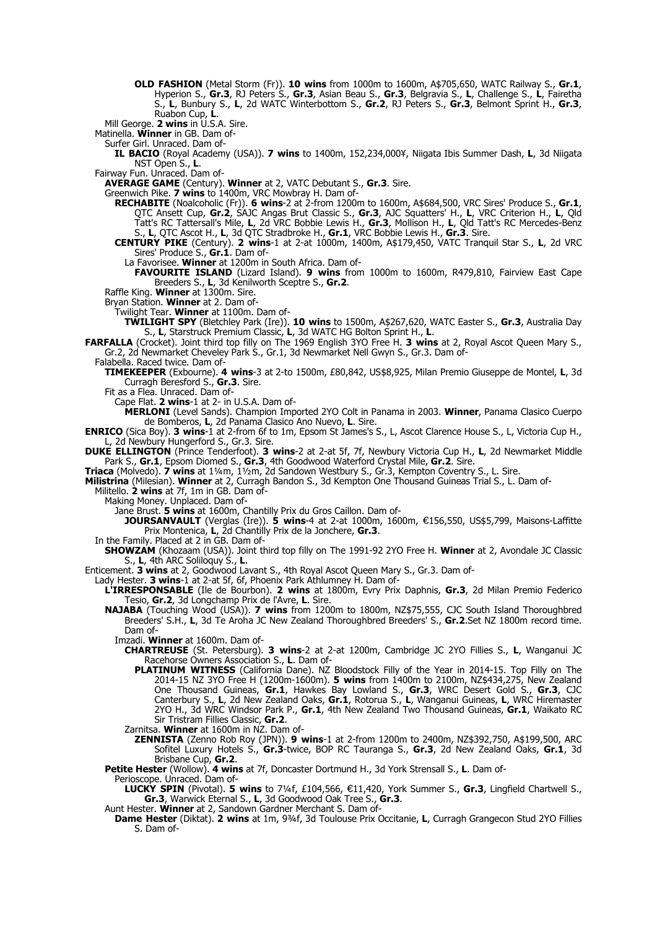- **OLD FASHION** (Metal Storm (Fr)). **10 wins** from 1000m to 1600m, A\$705,650, WATC Railway S., **Gr.1**, Hyperion S., **Gr.3**, RJ Peters S., **Gr.3**, Asian Beau S., **Gr.3**, Belgravia S., **L**, Challenge S., **L**, Fairetha S., **L**, Bunbury S., **L**, 2d WATC Winterbottom S., **Gr.2**, RJ Peters S., **Gr.3**, Belmont Sprint H., **Gr.3**, Ruabon Cup, **L**.
- Mill George. **2 wins** in U.S.A. Sire.

Matinella. **Winner** in GB. Dam of-

Surfer Girl. Unraced. Dam of-

**IL BACIO** (Royal Academy (USA)). **7 wins** to 1400m, 152,234,000¥, Niigata Ibis Summer Dash, **L**, 3d Niigata NST Open S., **L**.

Fairway Fun. Unraced. Dam of-

**AVERAGE GAME** (Century). **Winner** at 2, VATC Debutant S., **Gr.3**. Sire.

Greenwich Pike. **7 wins** to 1400m, VRC Mowbray H. Dam of-

**RECHABITE** (Noalcoholic (Fr)). **6 wins**-2 at 2-from 1200m to 1600m, A\$684,500, VRC Sires' Produce S., **Gr.1**, QTC Ansett Cup, **Gr.2**, SAJC Angas Brut Classic S., **Gr.3**, AJC Squatters' H., **L**, VRC Criterion H., **L**, Qld Tatt's RC Tattersall's Mile, **L**, 2d VRC Bobbie Lewis H., **Gr.3**, Mollison H., **L**, Qld Tatt's RC Mercedes-Benz S., **L**, QTC Ascot H., **L**, 3d QTC Stradbroke H., **Gr.1**, VRC Bobbie Lewis H., **Gr.3**. Sire.

**CENTURY PIKE** (Century). **2 wins**-1 at 2-at 1000m, 1400m, A\$179,450, VATC Tranquil Star S., **L**, 2d VRC Sires' Produce S., **Gr.1**. Dam of-

La Favorisee. **Winner** at 1200m in South Africa. Dam of-

**FAVOURITE ISLAND** (Lizard Island). **9 wins** from 1000m to 1600m, R479,810, Fairview East Cape Breeders S., **L**, 3d Kenilworth Sceptre S., **Gr.2**.

Raffle King. **Winner** at 1300m. Sire.

Bryan Station. **Winner** at 2. Dam of-

Twilight Tear. **Winner** at 1100m. Dam of-

**TWILIGHT SPY** (Bletchley Park (Ire)). **10 wins** to 1500m, A\$267,620, WATC Easter S., **Gr.3**, Australia Day S., **L**, Starstruck Premium Classic, **L**, 3d WATC HG Bolton Sprint H., **L**.

**FARFALLA** (Crocket). Joint third top filly on The 1969 English 3YO Free H. **3 wins** at 2, Royal Ascot Queen Mary S., Gr.2, 2d Newmarket Cheveley Park S., Gr.1, 3d Newmarket Nell Gwyn S., Gr.3. Dam of-

Falabella. Raced twice. Dam of-

**TIMEKEEPER** (Exbourne). **4 wins**-3 at 2-to 1500m, £80,842, US\$8,925, Milan Premio Giuseppe de Montel, **L**, 3d Curragh Beresford S., **Gr.3**. Sire.

Fit as a Flea. Unraced. Dam of-

Cape Flat. **2 wins**-1 at 2- in U.S.A. Dam of-

**MERLONI** (Level Sands). Champion Imported 2YO Colt in Panama in 2003. **Winner**, Panama Clasico Cuerpo de Bomberos, **L**, 2d Panama Clasico Ano Nuevo, **L**. Sire.

**ENRICO** (Sica Boy). **3 wins**-1 at 2-from 6f to 1m, Epsom St James's S., L, Ascot Clarence House S., L, Victoria Cup H., L, 2d Newbury Hungerford S., Gr.3. Sire.

**DUKE ELLINGTON** (Prince Tenderfoot). **3 wins**-2 at 2-at 5f, 7f, Newbury Victoria Cup H., **L**, 2d Newmarket Middle Park S., **Gr.1**, Epsom Diomed S., **Gr.3**, 4th Goodwood Waterford Crystal Mile, **Gr.2**. Sire.

**Triaca** (Molvedo). **7 wins** at 1¼m, 1½m, 2d Sandown Westbury S., Gr.3, Kempton Coventry S., L. Sire.

**Milistrina** (Milesian). **Winner** at 2, Curragh Bandon S., 3d Kempton One Thousand Guineas Trial S., L. Dam of-

Militello. **2 wins** at 7f, 1m in GB. Dam of-

Making Money. Unplaced. Dam of-

Jane Brust. **5 wins** at 1600m, Chantilly Prix du Gros Caillon. Dam of-

**JOURSANVAULT** (Verglas (Ire)). **5 wins**-4 at 2-at 1000m, 1600m, €156,550, US\$5,799, Maisons-Laffitte Prix Montenica, **L**, 2d Chantilly Prix de la Jonchere, **Gr.3**.

In the Family. Placed at 2 in GB. Dam of-

**SHOWZAM** (Khozaam (USA)). Joint third top filly on The 1991-92 2YO Free H. **Winner** at 2, Avondale JC Classic S., **L**, 4th ARC Soliloquy S., **L**.

Enticement. **3 wins** at 2, Goodwood Lavant S., 4th Royal Ascot Queen Mary S., Gr.3. Dam of-

Lady Hester. **3 wins**-1 at 2-at 5f, 6f, Phoenix Park Athlumney H. Dam of-

**L'IRRESPONSABLE** (Ile de Bourbon). **2 wins** at 1800m, Evry Prix Daphnis, **Gr.3**, 2d Milan Premio Federico Tesio, **Gr.2**, 3d Longchamp Prix de l'Avre, **L**. Sire.

**NAJABA** (Touching Wood (USA)). **7 wins** from 1200m to 1800m, NZ\$75,555, CJC South Island Thoroughbred Breeders' S.H., **L**, 3d Te Aroha JC New Zealand Thoroughbred Breeders' S., **Gr.2**.Set NZ 1800m record time. Dam of-

Imzadi. **Winner** at 1600m. Dam of-

**CHARTREUSE** (St. Petersburg). **3 wins**-2 at 2-at 1200m, Cambridge JC 2YO Fillies S., **L**, Wanganui JC Racehorse Owners Association S., **L**. Dam of-

**PLATINUM WITNESS** (California Dane). NZ Bloodstock Filly of the Year in 2014-15. Top Filly on The 2014-15 NZ 3YO Free H (1200m-1600m). **5 wins** from 1400m to 2100m, NZ\$434,275, New Zealand One Thousand Guineas, **Gr.1**, Hawkes Bay Lowland S., **Gr.3**, WRC Desert Gold S., **Gr.3**, CJC Canterbury S., **L**, 2d New Zealand Oaks, **Gr.1**, Rotorua S., **L**, Wanganui Guineas, **L**, WRC Hiremaster 2YO H., 3d WRC Windsor Park P., **Gr.1**, 4th New Zealand Two Thousand Guineas, **Gr.1**, Waikato RC Sir Tristram Fillies Classic, **Gr.2**.

Zarnitsa. **Winner** at 1600m in NZ. Dam of-

**ZENNISTA** (Zenno Rob Roy (JPN)). **9 wins**-1 at 2-from 1200m to 2400m, NZ\$392,750, A\$199,500, ARC Sofitel Luxury Hotels S., **Gr.3**-twice, BOP RC Tauranga S., **Gr.3**, 2d New Zealand Oaks, **Gr.1**, 3d Brisbane Cup, **Gr.2**.

**Petite Hester** (Wollow). **4 wins** at 7f, Doncaster Dortmund H., 3d York Strensall S., **L**. Dam of-

Perioscope. Unraced. Dam of-

**LUCKY SPIN** (Pivotal). **5 wins** to 7¼f, £104,566, €11,420, York Summer S., Gr.3, Lingfield Chartwell S., **Gr.3**, Warwick Eternal S., **L**, 3d Goodwood Oak Tree S., **Gr.3**.

Aunt Hester. **Winner** at 2, Sandown Gardner Merchant S. Dam of-

**Dame Hester** (Diktat). **2 wins** at 1m, 9¾f, 3d Toulouse Prix Occitanie, **L**, Curragh Grangecon Stud 2YO Fillies S. Dam of-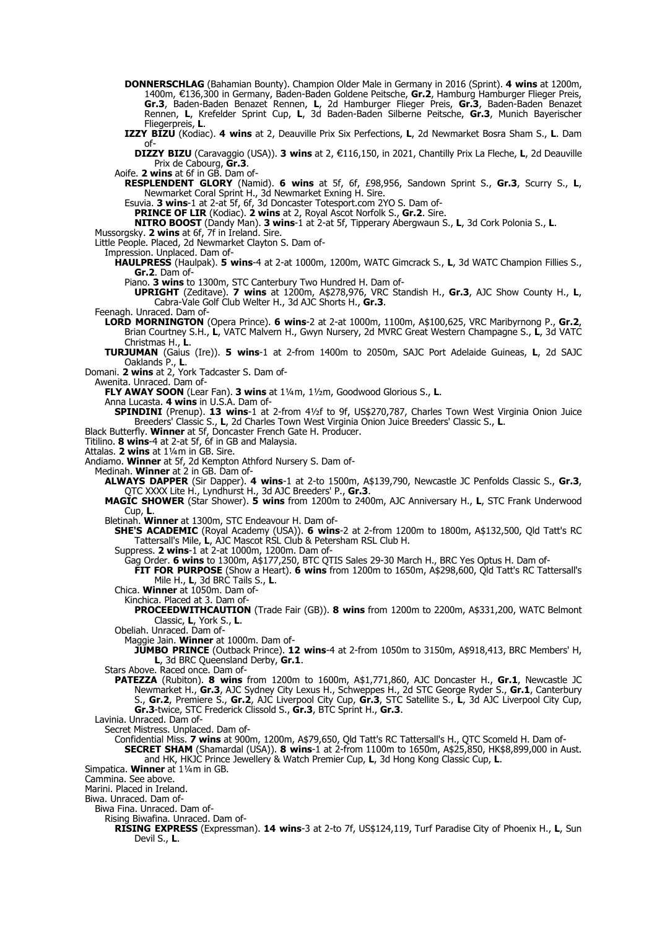- **DONNERSCHLAG** (Bahamian Bounty). Champion Older Male in Germany in 2016 (Sprint). **4 wins** at 1200m, 1400m, €136,300 in Germany, Baden-Baden Goldene Peitsche, Gr.2, Hamburg Hamburger Flieger Preis, **Gr.3**, Baden-Baden Benazet Rennen, **L**, 2d Hamburger Flieger Preis, **Gr.3**, Baden-Baden Benazet Rennen, **L**, Krefelder Sprint Cup, **L**, 3d Baden-Baden Silberne Peitsche, **Gr.3**, Munich Bayerischer Fliegerpreis, **L**.
- **IZZY BIZU** (Kodiac). **4 wins** at 2, Deauville Prix Six Perfections, **L**, 2d Newmarket Bosra Sham S., **L**. Dam of-

**DIZZY BIZU** (Caravaggio (USA)). 3 wins at 2, €116,150, in 2021, Chantilly Prix La Fleche, L, 2d Deauville Prix de Cabourg, **Gr.3**.

Aoife. **2 wins** at 6f in GB. Dam of-

**RESPLENDENT GLORY** (Namid). **6 wins** at 5f, 6f, £98,956, Sandown Sprint S., **Gr.3**, Scurry S., **L**, Newmarket Coral Sprint H., 3d Newmarket Exning H. Sire.

Esuvia. **3 wins**-1 at 2-at 5f, 6f, 3d Doncaster Totesport.com 2YO S. Dam of-

**PRINCE OF LIR** (Kodiac). **2 wins** at 2, Royal Ascot Norfolk S., **Gr.2**. Sire.

**NITRO BOOST** (Dandy Man). **3 wins**-1 at 2-at 5f, Tipperary Abergwaun S., **L**, 3d Cork Polonia S., **L**.

Mussorgsky. **2 wins** at 6f, 7f in Ireland. Sire. Little People. Placed, 2d Newmarket Clayton S. Dam of-

Impression. Unplaced. Dam of-

**HAULPRESS** (Haulpak). **5 wins**-4 at 2-at 1000m, 1200m, WATC Gimcrack S., **L**, 3d WATC Champion Fillies S., **Gr.2**. Dam of-

Piano. **3 wins** to 1300m, STC Canterbury Two Hundred H. Dam of-

**UPRIGHT** (Zeditave). **7 wins** at 1200m, A\$278,976, VRC Standish H., **Gr.3**, AJC Show County H., **L**, Cabra-Vale Golf Club Welter H., 3d AJC Shorts H., **Gr.3**.

- Feenagh. Unraced. Dam of-
- **LORD MORNINGTON** (Opera Prince). **6 wins**-2 at 2-at 1000m, 1100m, A\$100,625, VRC Maribyrnong P., **Gr.2**, Brian Courtney S.H., **L**, VATC Malvern H., Gwyn Nursery, 2d MVRC Great Western Champagne S., **L**, 3d VATC Christmas H., **L**.
- **TURJUMAN** (Gaius (Ire)). **5 wins**-1 at 2-from 1400m to 2050m, SAJC Port Adelaide Guineas, **L**, 2d SAJC Oaklands P., **L**.
- Domani. **2 wins** at 2, York Tadcaster S. Dam of-
	- Awenita. Unraced. Dam of-

**FLY AWAY SOON** (Lear Fan). **3 wins** at 1¼m, 1½m, Goodwood Glorious S., **L**.

Anna Lucasta. **4 wins** in U.S.A. Dam of-

**SPINDINI** (Prenup). **13 wins**-1 at 2-from 4½f to 9f, US\$270,787, Charles Town West Virginia Onion Juice Breeders' Classic S., **L**, 2d Charles Town West Virginia Onion Juice Breeders' Classic S., **L**.

Black Butterfly. **Winner** at 5f, Doncaster French Gate H. Producer.

Titilino. **8 wins**-4 at 2-at 5f, 6f in GB and Malaysia.

Attalas. **2 wins** at 1¼m in GB. Sire.

Andiamo. **Winner** at 5f, 2d Kempton Athford Nursery S. Dam of-

Medinah. **Winner** at 2 in GB. Dam of-

**ALWAYS DAPPER** (Sir Dapper). **4 wins**-1 at 2-to 1500m, A\$139,790, Newcastle JC Penfolds Classic S., **Gr.3**, QTC XXXX Lite H., Lyndhurst H., 3d AJC Breeders' P., **Gr.3**.

**MAGIC SHOWER** (Star Shower). **5 wins** from 1200m to 2400m, AJC Anniversary H., **L**, STC Frank Underwood Cup, **L**.

Bletinah. **Winner** at 1300m, STC Endeavour H. Dam of-

- **SHE'S ACADEMIC** (Royal Academy (USA)). **6 wins**-2 at 2-from 1200m to 1800m, A\$132,500, Qld Tatt's RC Tattersall's Mile, **L**, AJC Mascot RSL Club & Petersham RSL Club H.
- Suppress. **2 wins**-1 at 2-at 1000m, 1200m. Dam of-

Gag Order. **6 wins** to 1300m, A\$177,250, BTC QTIS Sales 29-30 March H., BRC Yes Optus H. Dam of-

**FIT FOR PURPOSE** (Show a Heart). **6 wins** from 1200m to 1650m, A\$298,600, Qld Tatt's RC Tattersall's Mile H., **L**, 3d BRC Tails S., **L**.

- Chica. **Winner** at 1050m. Dam of-
	- Kinchica. Placed at 3. Dam of-

**PROCEEDWITHCAUTION** (Trade Fair (GB)). **8 wins** from 1200m to 2200m, A\$331,200, WATC Belmont Classic, **L**, York S., **L**.

Obeliah. Unraced. Dam of-

Maggie Jain. **Winner** at 1000m. Dam of-

- **JUMBO PRINCE** (Outback Prince). **12 wins**-4 at 2-from 1050m to 3150m, A\$918,413, BRC Members' H, L, 3d BRC Queensland Derby, Gr.1.
- Stars Above. Raced once. Dam of-
- **PATEZZA** (Rubiton). **8 wins** from 1200m to 1600m, A\$1,771,860, AJC Doncaster H., **Gr.1**, Newcastle JC Newmarket H., **Gr.3**, AJC Sydney City Lexus H., Schweppes H., 2d STC George Ryder S., **Gr.1**, Canterbury S., **Gr.2**, Premiere S., **Gr.2**, AJC Liverpool City Cup, **Gr.3**, STC Satellite S., **L**, 3d AJC Liverpool City Cup, **Gr.3**-twice, STC Frederick Clissold S., **Gr.3**, BTC Sprint H., **Gr.3**.

Lavinia. Unraced. Dam of-

Secret Mistress. Unplaced. Dam of-

- Confidential Miss. **7 wins** at 900m, 1200m, A\$79,650, Qld Tatt's RC Tattersall's H., QTC Scomeld H. Dam of-**SECRET SHAM** (Shamardal (USA)). **8 wins**-1 at 2-from 1100m to 1650m, A\$25,850, HK\$8,899,000 in Aust. and HK, HKJC Prince Jewellery & Watch Premier Cup, **L**, 3d Hong Kong Classic Cup, **L**.
- Simpatica. **Winner** at 1¼m in GB.

Cammina. See above.

Marini. Placed in Ireland.

Biwa. Unraced. Dam of-

Biwa Fina. Unraced. Dam of-

Rising Biwafina. Unraced. Dam of-

**RISING EXPRESS** (Expressman). **14 wins**-3 at 2-to 7f, US\$124,119, Turf Paradise City of Phoenix H., **L**, Sun Devil S., **L**.